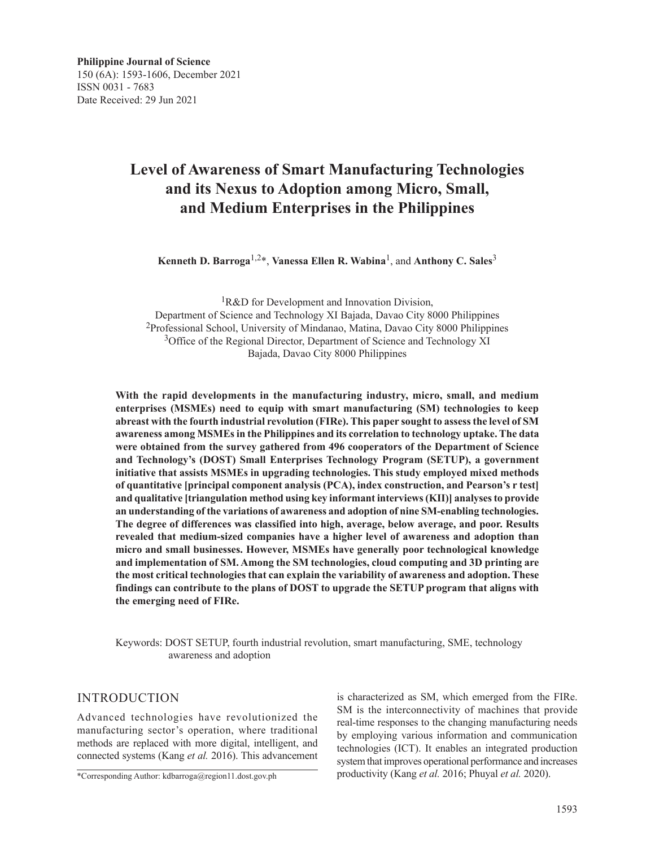# **Level of Awareness of Smart Manufacturing Technologies and its Nexus to Adoption among Micro, Small, and Medium Enterprises in the Philippines**

**Kenneth D. Barroga**1,2\*, **Vanessa Ellen R. Wabina**1, and **Anthony C. Sales**<sup>3</sup>

<sup>1</sup>R&D for Development and Innovation Division, Department of Science and Technology XI Bajada, Davao City 8000 Philippines 2Professional School, University of Mindanao, Matina, Davao City 8000 Philippines <sup>3</sup>Office of the Regional Director, Department of Science and Technology XI Bajada, Davao City 8000 Philippines

**With the rapid developments in the manufacturing industry, micro, small, and medium enterprises (MSMEs) need to equip with smart manufacturing (SM) technologies to keep abreast with the fourth industrial revolution (FIRe). This paper sought to assess the level of SM awareness among MSMEs in the Philippines and its correlation to technology uptake. The data were obtained from the survey gathered from 496 cooperators of the Department of Science and Technology's (DOST) Small Enterprises Technology Program (SETUP), a government initiative that assists MSMEs in upgrading technologies. This study employed mixed methods of quantitative [principal component analysis (PCA), index construction, and Pearson's r test] and qualitative [triangulation method using key informant interviews (KII)] analyses to provide an understanding of the variations of awareness and adoption of nine SM-enabling technologies. The degree of differences was classified into high, average, below average, and poor. Results revealed that medium-sized companies have a higher level of awareness and adoption than micro and small businesses. However, MSMEs have generally poor technological knowledge and implementation of SM. Among the SM technologies, cloud computing and 3D printing are the most critical technologies that can explain the variability of awareness and adoption. These findings can contribute to the plans of DOST to upgrade the SETUP program that aligns with the emerging need of FIRe.**

Keywords: DOST SETUP, fourth industrial revolution, smart manufacturing, SME, technology awareness and adoption

### INTRODUCTION

Advanced technologies have revolutionized the manufacturing sector's operation, where traditional methods are replaced with more digital, intelligent, and connected systems (Kang *et al.* 2016). This advancement

\*Corresponding Author: kdbarroga@region11.dost.gov.ph

is characterized as SM, which emerged from the FIRe. SM is the interconnectivity of machines that provide real-time responses to the changing manufacturing needs by employing various information and communication technologies (ICT). It enables an integrated production system that improves operational performance and increases productivity (Kang *et al.* 2016; Phuyal *et al.* 2020).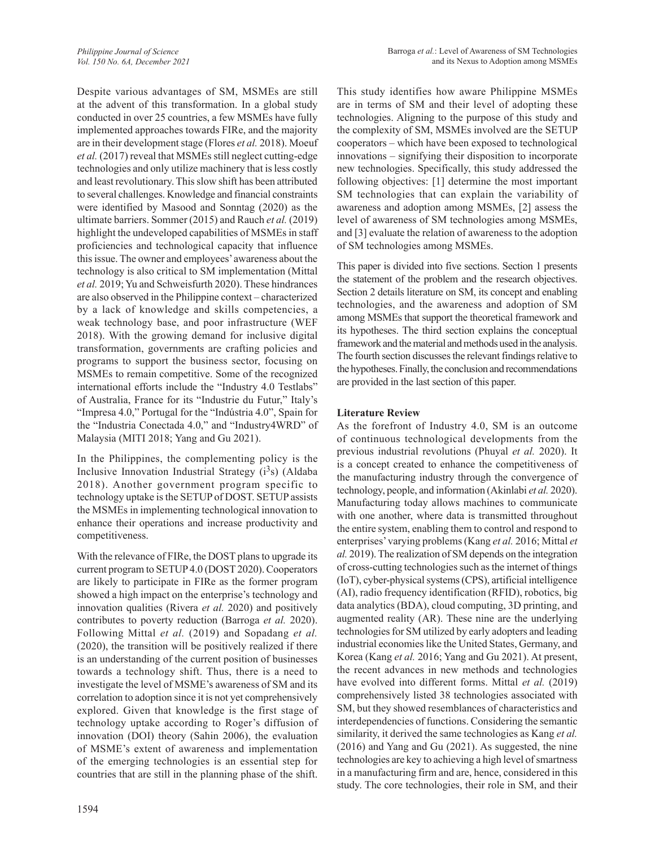Despite various advantages of SM, MSMEs are still at the advent of this transformation. In a global study conducted in over 25 countries, a few MSMEs have fully implemented approaches towards FIRe, and the majority are in their development stage (Flores *et al.* 2018). Moeuf *et al.* (2017) reveal that MSMEs still neglect cutting-edge technologies and only utilize machinery that is less costly and least revolutionary. This slow shift has been attributed to several challenges. Knowledge and financial constraints were identified by Masood and Sonntag (2020) as the ultimate barriers. Sommer (2015) and Rauch *et al.* (2019) highlight the undeveloped capabilities of MSMEs in staff proficiencies and technological capacity that influence this issue. The owner and employees' awareness about the technology is also critical to SM implementation (Mittal *et al.* 2019; Yu and Schweisfurth 2020). These hindrances are also observed in the Philippine context – characterized by a lack of knowledge and skills competencies, a weak technology base, and poor infrastructure (WEF 2018). With the growing demand for inclusive digital transformation, governments are crafting policies and programs to support the business sector, focusing on MSMEs to remain competitive. Some of the recognized international efforts include the "Industry 4.0 Testlabs" of Australia, France for its "Industrie du Futur," Italy's "Impresa 4.0," Portugal for the "Indústria 4.0", Spain for the "Industria Conectada 4.0," and "Industry4WRD" of Malaysia (MITI 2018; Yang and Gu 2021).

In the Philippines, the complementing policy is the Inclusive Innovation Industrial Strategy  $(i^3s)$  (Aldaba 2018). Another government program specific to technology uptake is the SETUP of DOST. SETUP assists the MSMEs in implementing technological innovation to enhance their operations and increase productivity and competitiveness.

With the relevance of FIRe, the DOST plans to upgrade its current program to SETUP 4.0 (DOST 2020). Cooperators are likely to participate in FIRe as the former program showed a high impact on the enterprise's technology and innovation qualities (Rivera *et al.* 2020) and positively contributes to poverty reduction (Barroga *et al.* 2020). Following Mittal *et al.* (2019) and Sopadang *et al.* (2020), the transition will be positively realized if there is an understanding of the current position of businesses towards a technology shift. Thus, there is a need to investigate the level of MSME's awareness of SM and its correlation to adoption since it is not yet comprehensively explored. Given that knowledge is the first stage of technology uptake according to Roger's diffusion of innovation (DOI) theory (Sahin 2006), the evaluation of MSME's extent of awareness and implementation of the emerging technologies is an essential step for countries that are still in the planning phase of the shift.

This study identifies how aware Philippine MSMEs are in terms of SM and their level of adopting these technologies. Aligning to the purpose of this study and the complexity of SM, MSMEs involved are the SETUP cooperators – which have been exposed to technological innovations – signifying their disposition to incorporate new technologies. Specifically, this study addressed the following objectives: [1] determine the most important SM technologies that can explain the variability of awareness and adoption among MSMEs, [2] assess the level of awareness of SM technologies among MSMEs, and [3] evaluate the relation of awareness to the adoption of SM technologies among MSMEs.

This paper is divided into five sections. Section 1 presents the statement of the problem and the research objectives. Section 2 details literature on SM, its concept and enabling technologies, and the awareness and adoption of SM among MSMEs that support the theoretical framework and its hypotheses. The third section explains the conceptual framework and the material and methods used in the analysis. The fourth section discusses the relevant findings relative to the hypotheses. Finally, the conclusion and recommendations are provided in the last section of this paper.

### **Literature Review**

As the forefront of Industry 4.0, SM is an outcome of continuous technological developments from the previous industrial revolutions (Phuyal *et al.* 2020). It is a concept created to enhance the competitiveness of the manufacturing industry through the convergence of technology, people, and information (Akinlabi *et al.* 2020). Manufacturing today allows machines to communicate with one another, where data is transmitted throughout the entire system, enabling them to control and respond to enterprises' varying problems (Kang *et al.* 2016; Mittal *et al.* 2019). The realization of SM depends on the integration of cross-cutting technologies such as the internet of things (IoT), cyber-physical systems (CPS), artificial intelligence (AI), radio frequency identification (RFID), robotics, big data analytics (BDA), cloud computing, 3D printing, and augmented reality (AR). These nine are the underlying technologies for SM utilized by early adopters and leading industrial economies like the United States, Germany, and Korea (Kang *et al.* 2016; Yang and Gu 2021). At present, the recent advances in new methods and technologies have evolved into different forms. Mittal *et al.* (2019) comprehensively listed 38 technologies associated with SM, but they showed resemblances of characteristics and interdependencies of functions. Considering the semantic similarity, it derived the same technologies as Kang *et al.* (2016) and Yang and Gu (2021). As suggested, the nine technologies are key to achieving a high level of smartness in a manufacturing firm and are, hence, considered in this study. The core technologies, their role in SM, and their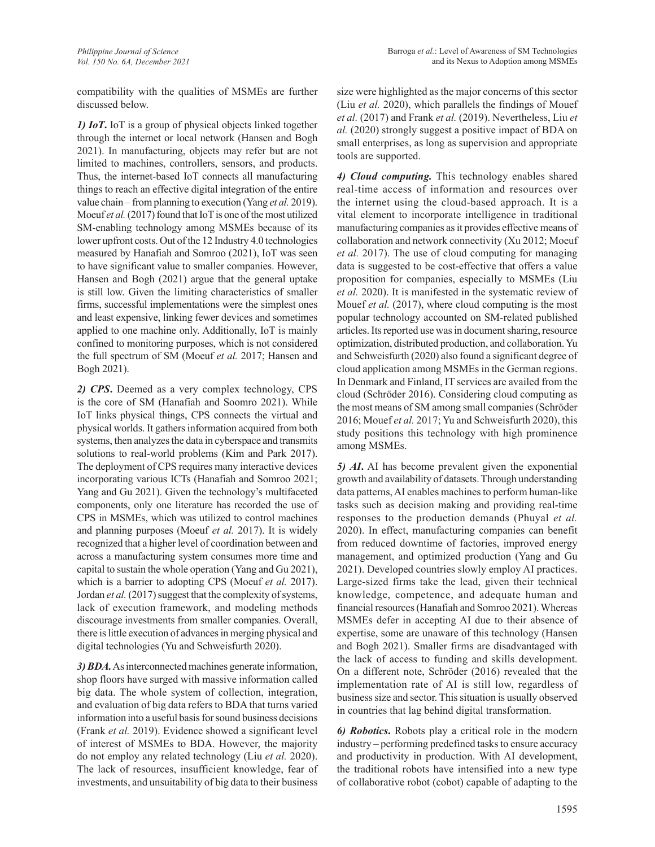compatibility with the qualities of MSMEs are further discussed below.

*1) IoT***.** IoT is a group of physical objects linked together through the internet or local network (Hansen and Bogh 2021). In manufacturing, objects may refer but are not limited to machines, controllers, sensors, and products. Thus, the internet-based IoT connects all manufacturing things to reach an effective digital integration of the entire value chain – from planning to execution (Yang *et al.* 2019). Moeuf *et al.* (2017) found that IoT is one of the most utilized SM-enabling technology among MSMEs because of its lower upfront costs. Out of the 12 Industry 4.0 technologies measured by Hanafiah and Somroo (2021), IoT was seen to have significant value to smaller companies. However, Hansen and Bogh (2021) argue that the general uptake is still low. Given the limiting characteristics of smaller firms, successful implementations were the simplest ones and least expensive, linking fewer devices and sometimes applied to one machine only. Additionally, IoT is mainly confined to monitoring purposes, which is not considered the full spectrum of SM (Moeuf *et al.* 2017; Hansen and Bogh 2021).

*2) CPS***.** Deemed as a very complex technology, CPS is the core of SM (Hanafiah and Soomro 2021). While IoT links physical things, CPS connects the virtual and physical worlds. It gathers information acquired from both systems, then analyzes the data in cyberspace and transmits solutions to real-world problems (Kim and Park 2017). The deployment of CPS requires many interactive devices incorporating various ICTs (Hanafiah and Somroo 2021; Yang and Gu 2021). Given the technology's multifaceted components, only one literature has recorded the use of CPS in MSMEs, which was utilized to control machines and planning purposes (Moeuf *et al.* 2017). It is widely recognized that a higher level of coordination between and across a manufacturing system consumes more time and capital to sustain the whole operation (Yang and Gu 2021), which is a barrier to adopting CPS (Moeuf *et al.* 2017). Jordan *et al.* (2017) suggest that the complexity of systems, lack of execution framework, and modeling methods discourage investments from smaller companies. Overall, there is little execution of advances in merging physical and digital technologies (Yu and Schweisfurth 2020).

*3) BDA.* As interconnected machines generate information, shop floors have surged with massive information called big data. The whole system of collection, integration, and evaluation of big data refers to BDA that turns varied information into a useful basis for sound business decisions (Frank *et al.* 2019). Evidence showed a significant level of interest of MSMEs to BDA. However, the majority do not employ any related technology (Liu *et al.* 2020). The lack of resources, insufficient knowledge, fear of investments, and unsuitability of big data to their business size were highlighted as the major concerns of this sector (Liu *et al.* 2020), which parallels the findings of Mouef *et al.* (2017) and Frank *et al.* (2019). Nevertheless, Liu *et al.* (2020) strongly suggest a positive impact of BDA on small enterprises, as long as supervision and appropriate tools are supported.

*4) Cloud computing.* This technology enables shared real-time access of information and resources over the internet using the cloud-based approach. It is a vital element to incorporate intelligence in traditional manufacturing companies as it provides effective means of collaboration and network connectivity (Xu 2012; Moeuf *et al.* 2017). The use of cloud computing for managing data is suggested to be cost-effective that offers a value proposition for companies, especially to MSMEs (Liu *et al.* 2020). It is manifested in the systematic review of Mouef *et al.* (2017), where cloud computing is the most popular technology accounted on SM-related published articles. Its reported use was in document sharing, resource optimization, distributed production, and collaboration. Yu and Schweisfurth (2020) also found a significant degree of cloud application among MSMEs in the German regions. In Denmark and Finland, IT services are availed from the cloud (Schröder 2016). Considering cloud computing as the most means of SM among small companies (Schröder 2016; Mouef *et al.* 2017; Yu and Schweisfurth 2020), this study positions this technology with high prominence among MSMEs.

*5) AI***.** AI has become prevalent given the exponential growth and availability of datasets. Through understanding data patterns, AI enables machines to perform human-like tasks such as decision making and providing real-time responses to the production demands (Phuyal *et al.* 2020). In effect, manufacturing companies can benefit from reduced downtime of factories, improved energy management, and optimized production (Yang and Gu 2021). Developed countries slowly employ AI practices. Large-sized firms take the lead, given their technical knowledge, competence, and adequate human and financial resources (Hanafiah and Somroo 2021). Whereas MSMEs defer in accepting AI due to their absence of expertise, some are unaware of this technology (Hansen and Bogh 2021). Smaller firms are disadvantaged with the lack of access to funding and skills development. On a different note, Schröder (2016) revealed that the implementation rate of AI is still low, regardless of business size and sector. This situation is usually observed in countries that lag behind digital transformation.

*6) Robotics***.** Robots play a critical role in the modern industry – performing predefined tasks to ensure accuracy and productivity in production. With AI development, the traditional robots have intensified into a new type of collaborative robot (cobot) capable of adapting to the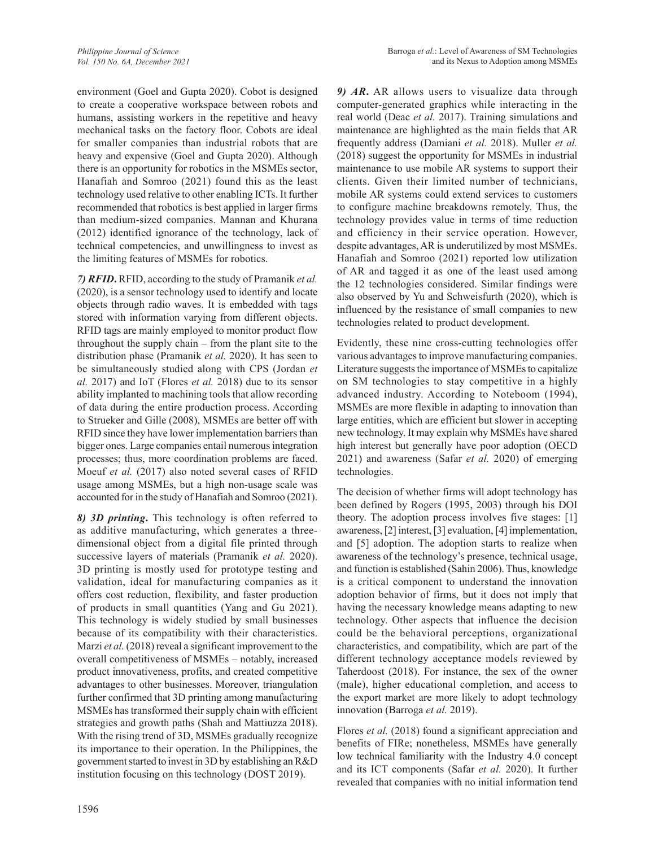environment (Goel and Gupta 2020). Cobot is designed to create a cooperative workspace between robots and humans, assisting workers in the repetitive and heavy mechanical tasks on the factory floor. Cobots are ideal for smaller companies than industrial robots that are heavy and expensive (Goel and Gupta 2020). Although there is an opportunity for robotics in the MSMEs sector, Hanafiah and Somroo (2021) found this as the least technology used relative to other enabling ICTs. It further recommended that robotics is best applied in larger firms than medium-sized companies. Mannan and Khurana (2012) identified ignorance of the technology, lack of technical competencies, and unwillingness to invest as the limiting features of MSMEs for robotics.

*7) RFID***.** RFID, according to the study of Pramanik *et al.* (2020), is a sensor technology used to identify and locate objects through radio waves. It is embedded with tags stored with information varying from different objects. RFID tags are mainly employed to monitor product flow throughout the supply chain – from the plant site to the distribution phase (Pramanik *et al.* 2020). It has seen to be simultaneously studied along with CPS (Jordan *et al.* 2017) and IoT (Flores *et al.* 2018) due to its sensor ability implanted to machining tools that allow recording of data during the entire production process. According to Strueker and Gille (2008), MSMEs are better off with RFID since they have lower implementation barriers than bigger ones. Large companies entail numerous integration processes; thus, more coordination problems are faced. Moeuf *et al.* (2017) also noted several cases of RFID usage among MSMEs, but a high non-usage scale was accounted for in the study of Hanafiah and Somroo (2021).

*8) 3D printing***.** This technology is often referred to as additive manufacturing, which generates a threedimensional object from a digital file printed through successive layers of materials (Pramanik *et al.* 2020). 3D printing is mostly used for prototype testing and validation, ideal for manufacturing companies as it offers cost reduction, flexibility, and faster production of products in small quantities (Yang and Gu 2021). This technology is widely studied by small businesses because of its compatibility with their characteristics. Marzi *et al.* (2018) reveal a significant improvement to the overall competitiveness of MSMEs – notably, increased product innovativeness, profits, and created competitive advantages to other businesses. Moreover, triangulation further confirmed that 3D printing among manufacturing MSMEs has transformed their supply chain with efficient strategies and growth paths (Shah and Mattiuzza 2018). With the rising trend of 3D, MSMEs gradually recognize its importance to their operation. In the Philippines, the government started to invest in 3D by establishing an R&D institution focusing on this technology (DOST 2019).

*9) AR***.** AR allows users to visualize data through computer-generated graphics while interacting in the real world (Deac *et al.* 2017). Training simulations and maintenance are highlighted as the main fields that AR frequently address (Damiani *et al.* 2018). Muller *et al.* (2018) suggest the opportunity for MSMEs in industrial maintenance to use mobile AR systems to support their clients. Given their limited number of technicians, mobile AR systems could extend services to customers to configure machine breakdowns remotely. Thus, the technology provides value in terms of time reduction and efficiency in their service operation. However, despite advantages, AR is underutilized by most MSMEs. Hanafiah and Somroo (2021) reported low utilization of AR and tagged it as one of the least used among the 12 technologies considered. Similar findings were also observed by Yu and Schweisfurth (2020), which is influenced by the resistance of small companies to new technologies related to product development.

Evidently, these nine cross-cutting technologies offer various advantages to improve manufacturing companies. Literature suggests the importance of MSMEs to capitalize on SM technologies to stay competitive in a highly advanced industry. According to Noteboom (1994), MSMEs are more flexible in adapting to innovation than large entities, which are efficient but slower in accepting new technology. It may explain why MSMEs have shared high interest but generally have poor adoption (OECD 2021) and awareness (Safar *et al.* 2020) of emerging technologies.

The decision of whether firms will adopt technology has been defined by Rogers (1995, 2003) through his DOI theory. The adoption process involves five stages: [1] awareness, [2] interest, [3] evaluation, [4] implementation, and [5] adoption. The adoption starts to realize when awareness of the technology's presence, technical usage, and function is established (Sahin 2006). Thus, knowledge is a critical component to understand the innovation adoption behavior of firms, but it does not imply that having the necessary knowledge means adapting to new technology. Other aspects that influence the decision could be the behavioral perceptions, organizational characteristics, and compatibility, which are part of the different technology acceptance models reviewed by Taherdoost (2018). For instance, the sex of the owner (male), higher educational completion, and access to the export market are more likely to adopt technology innovation (Barroga *et al.* 2019).

Flores *et al.* (2018) found a significant appreciation and benefits of FIRe; nonetheless, MSMEs have generally low technical familiarity with the Industry 4.0 concept and its ICT components (Safar *et al.* 2020). It further revealed that companies with no initial information tend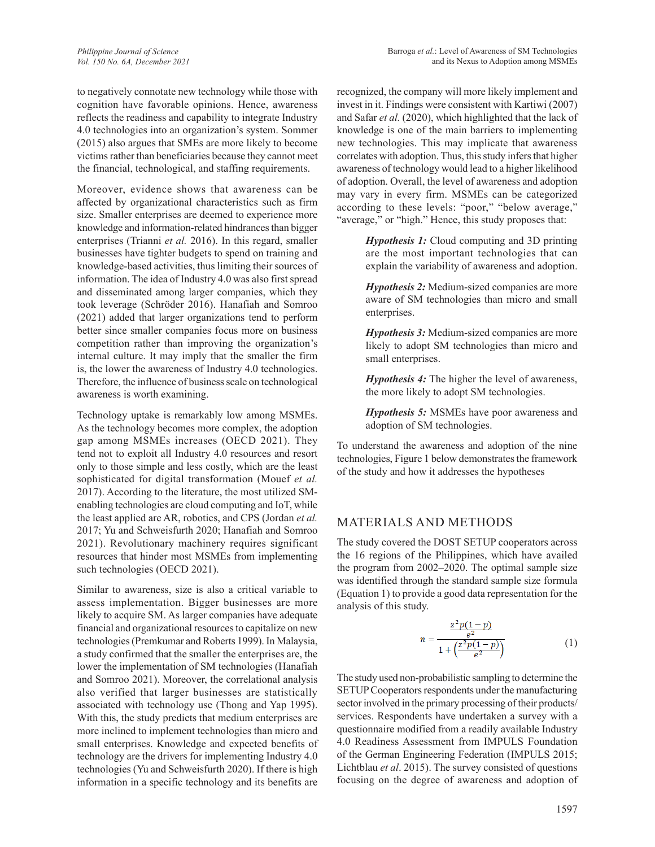to negatively connotate new technology while those with cognition have favorable opinions. Hence, awareness reflects the readiness and capability to integrate Industry 4.0 technologies into an organization's system. Sommer (2015) also argues that SMEs are more likely to become victims rather than beneficiaries because they cannot meet the financial, technological, and staffing requirements.

Moreover, evidence shows that awareness can be affected by organizational characteristics such as firm size. Smaller enterprises are deemed to experience more knowledge and information-related hindrances than bigger enterprises (Trianni *et al.* 2016). In this regard, smaller businesses have tighter budgets to spend on training and knowledge-based activities, thus limiting their sources of information. The idea of Industry 4.0 was also first spread and disseminated among larger companies, which they took leverage (Schröder 2016). Hanafiah and Somroo (2021) added that larger organizations tend to perform better since smaller companies focus more on business competition rather than improving the organization's internal culture. It may imply that the smaller the firm is, the lower the awareness of Industry 4.0 technologies. Therefore, the influence of business scale on technological awareness is worth examining.

Technology uptake is remarkably low among MSMEs. As the technology becomes more complex, the adoption gap among MSMEs increases (OECD 2021). They tend not to exploit all Industry 4.0 resources and resort only to those simple and less costly, which are the least sophisticated for digital transformation (Mouef *et al.* 2017). According to the literature, the most utilized SMenabling technologies are cloud computing and IoT, while the least applied are AR, robotics, and CPS (Jordan *et al.* 2017; Yu and Schweisfurth 2020; Hanafiah and Somroo 2021). Revolutionary machinery requires significant resources that hinder most MSMEs from implementing such technologies (OECD 2021).

Similar to awareness, size is also a critical variable to assess implementation. Bigger businesses are more likely to acquire SM. As larger companies have adequate financial and organizational resources to capitalize on new technologies (Premkumar and Roberts 1999). In Malaysia, a study confirmed that the smaller the enterprises are, the lower the implementation of SM technologies (Hanafiah and Somroo 2021). Moreover, the correlational analysis also verified that larger businesses are statistically associated with technology use (Thong and Yap 1995). With this, the study predicts that medium enterprises are more inclined to implement technologies than micro and small enterprises. Knowledge and expected benefits of technology are the drivers for implementing Industry 4.0 technologies (Yu and Schweisfurth 2020). If there is high information in a specific technology and its benefits are recognized, the company will more likely implement and invest in it. Findings were consistent with Kartiwi (2007) and Safar *et al.* (2020), which highlighted that the lack of knowledge is one of the main barriers to implementing new technologies. This may implicate that awareness correlates with adoption. Thus, this study infers that higher awareness of technology would lead to a higher likelihood of adoption. Overall, the level of awareness and adoption may vary in every firm. MSMEs can be categorized according to these levels: "poor," "below average," "average," or "high." Hence, this study proposes that:

> *Hypothesis 1:* Cloud computing and 3D printing are the most important technologies that can explain the variability of awareness and adoption.

> *Hypothesis 2:* Medium-sized companies are more aware of SM technologies than micro and small enterprises.

> *Hypothesis 3:* Medium-sized companies are more likely to adopt SM technologies than micro and small enterprises.

> *Hypothesis 4:* The higher the level of awareness, the more likely to adopt SM technologies.

> *Hypothesis 5:* MSMEs have poor awareness and adoption of SM technologies.

To understand the awareness and adoption of the nine technologies, Figure 1 below demonstrates the framework of the study and how it addresses the hypotheses

# MATERIALS AND METHODS

The study covered the DOST SETUP cooperators across the 16 regions of the Philippines, which have availed the program from 2002–2020. The optimal sample size was identified through the standard sample size formula (Equation 1) to provide a good data representation for the analysis of this study.

$$
n = \frac{\frac{z^2 p(1-p)}{e^2}}{1 + \left(\frac{z^2 p(1-p)}{e^2}\right)}\tag{1}
$$

The study used non-probabilistic sampling to determine the SETUP Cooperators respondents under the manufacturing sector involved in the primary processing of their products/ services. Respondents have undertaken a survey with a questionnaire modified from a readily available Industry 4.0 Readiness Assessment from IMPULS Foundation of the German Engineering Federation (IMPULS 2015; Lichtblau *et al*. 2015). The survey consisted of questions focusing on the degree of awareness and adoption of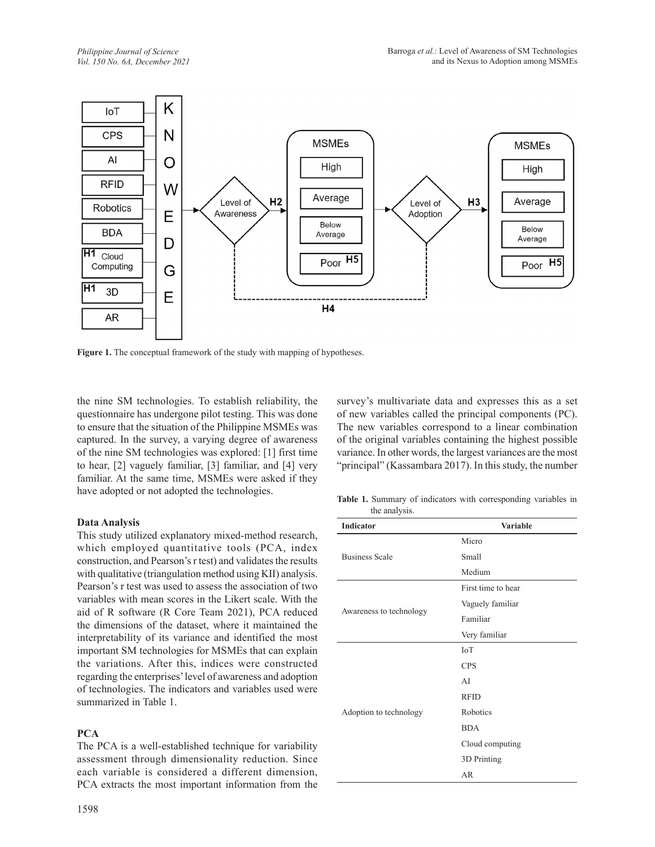

Figure 1. The conceptual framework of the study with mapping of hypotheses.

the nine SM technologies. To establish reliability, the questionnaire has undergone pilot testing. This was done to ensure that the situation of the Philippine MSMEs was captured. In the survey, a varying degree of awareness of the nine SM technologies was explored: [1] first time to hear, [2] vaguely familiar, [3] familiar, and [4] very familiar. At the same time, MSMEs were asked if they have adopted or not adopted the technologies.

### **Data Analysis**

This study utilized explanatory mixed-method research, which employed quantitative tools (PCA, index construction, and Pearson's r test) and validates the results with qualitative (triangulation method using KII) analysis. Pearson's r test was used to assess the association of two variables with mean scores in the Likert scale. With the aid of R software (R Core Team 2021), PCA reduced the dimensions of the dataset, where it maintained the interpretability of its variance and identified the most important SM technologies for MSMEs that can explain the variations. After this, indices were constructed regarding the enterprises' level of awareness and adoption of technologies. The indicators and variables used were summarized in Table 1.

### **PCA**

The PCA is a well-established technique for variability assessment through dimensionality reduction. Since each variable is considered a different dimension, PCA extracts the most important information from the survey's multivariate data and expresses this as a set of new variables called the principal components (PC). The new variables correspond to a linear combination of the original variables containing the highest possible variance. In other words, the largest variances are the most "principal" (Kassambara 2017). In this study, the number

**Table 1.** Summary of indicators with corresponding variables in the analysis.

| Indicator               | Variable           |
|-------------------------|--------------------|
|                         | Micro              |
| <b>Business Scale</b>   | Small              |
|                         | Medium             |
|                         | First time to hear |
|                         | Vaguely familiar   |
| Awareness to technology | Familiar           |
|                         | Very familiar      |
|                         | IoT                |
|                         | <b>CPS</b>         |
|                         | AI                 |
|                         | <b>RFID</b>        |
| Adoption to technology  | Robotics           |
|                         | <b>BDA</b>         |
|                         | Cloud computing    |
|                         | 3D Printing        |
|                         | AR                 |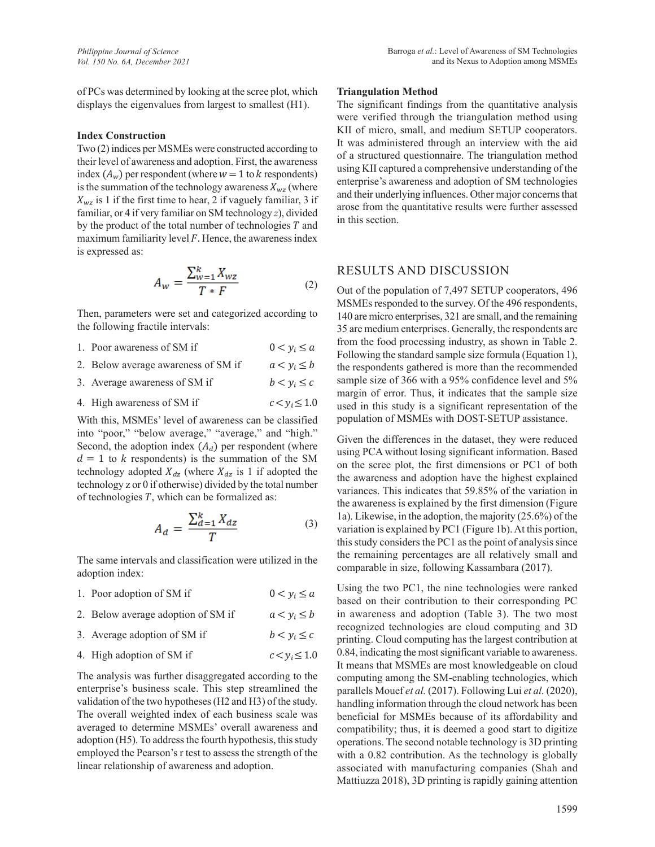of PCs was determined by looking at the scree plot, which displays the eigenvalues from largest to smallest (H1).

#### **Index Construction**

Two (2) indices per MSMEs were constructed according to their level of awareness and adoption. First, the awareness index  $(A_w)$  per respondent (where  $w = 1$  to  $k$  respondents) is the summation of the technology awareness  $X_{wz}$  (where  $X_{\text{wz}}$  is 1 if the first time to hear, 2 if vaguely familiar, 3 if familiar, or 4 if very familiar on SM technology *z*), divided by the product of the total number of technologies  $T$  and maximum familiarity level  $F$ . Hence, the awareness index is expressed as:

$$
A_w = \frac{\sum_{w=1}^{k} X_{wz}}{T * F} \tag{2}
$$

Then, parameters were set and categorized according to the following fractile intervals:

- 1. Poor awareness of SM if  $0 < y_i \le a$
- 2. Below average awareness of SM if  $a < y_i \le b$
- 3. Average awareness of SM if  $b < y_i \leq c$
- 4. High awareness of SM if  $c < v_i \leq 1.0$

With this, MSMEs' level of awareness can be classified into "poor," "below average," "average," and "high." Second, the adoption index  $(A_d)$  per respondent (where  $d = 1$  to k respondents) is the summation of the SM technology adopted  $X_{dz}$  (where  $X_{dz}$  is 1 if adopted the technology z or 0 if otherwise) divided by the total number of technologies  $T$ , which can be formalized as:

$$
A_d = \frac{\sum_{d=1}^{k} X_{dz}}{T} \tag{3}
$$

The same intervals and classification were utilized in the adoption index:

| 1. Poor adoption of SM if          | $0 < y_i \leq a$   |
|------------------------------------|--------------------|
| 2. Below average adoption of SM if | $a < y_i \leq b$   |
| 3. Average adoption of SM if       | $b < y_i \leq c$   |
| 4. High adoption of SM if          | $c < y_i \leq 1.0$ |

The analysis was further disaggregated according to the enterprise's business scale. This step streamlined the validation of the two hypotheses (H2 and H3) of the study. The overall weighted index of each business scale was averaged to determine MSMEs' overall awareness and adoption (H5). To address the fourth hypothesis, this study employed the Pearson's r test to assess the strength of the linear relationship of awareness and adoption.

#### **Triangulation Method**

The significant findings from the quantitative analysis were verified through the triangulation method using KII of micro, small, and medium SETUP cooperators. It was administered through an interview with the aid of a structured questionnaire. The triangulation method using KII captured a comprehensive understanding of the enterprise's awareness and adoption of SM technologies and their underlying influences. Other major concerns that arose from the quantitative results were further assessed in this section.

#### RESULTS AND DISCUSSION

Out of the population of 7,497 SETUP cooperators, 496 MSMEs responded to the survey. Of the 496 respondents, 140 are micro enterprises, 321 are small, and the remaining 35 are medium enterprises. Generally, the respondents are from the food processing industry, as shown in Table 2. Following the standard sample size formula (Equation 1), the respondents gathered is more than the recommended sample size of 366 with a 95% confidence level and 5% margin of error. Thus, it indicates that the sample size used in this study is a significant representation of the population of MSMEs with DOST-SETUP assistance.

Given the differences in the dataset, they were reduced using PCA without losing significant information. Based on the scree plot, the first dimensions or PC1 of both the awareness and adoption have the highest explained variances. This indicates that 59.85% of the variation in the awareness is explained by the first dimension (Figure 1a). Likewise, in the adoption, the majority (25.6%) of the variation is explained by PC1 (Figure 1b). At this portion, this study considers the PC1 as the point of analysis since the remaining percentages are all relatively small and comparable in size, following Kassambara (2017).

Using the two PC1, the nine technologies were ranked based on their contribution to their corresponding PC in awareness and adoption (Table 3). The two most recognized technologies are cloud computing and 3D printing. Cloud computing has the largest contribution at 0.84, indicating the most significant variable to awareness. It means that MSMEs are most knowledgeable on cloud computing among the SM-enabling technologies, which parallels Mouef *et al.* (2017). Following Lui *et al.* (2020), handling information through the cloud network has been beneficial for MSMEs because of its affordability and compatibility; thus, it is deemed a good start to digitize operations. The second notable technology is 3D printing with a 0.82 contribution. As the technology is globally associated with manufacturing companies (Shah and Mattiuzza 2018), 3D printing is rapidly gaining attention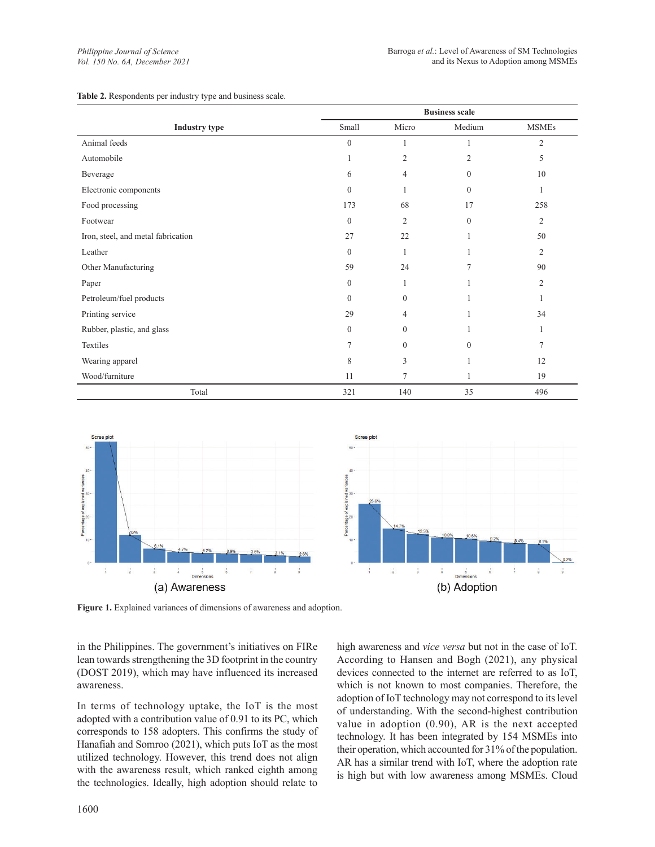|                                    | <b>Business scale</b> |                |                |                |  |  |
|------------------------------------|-----------------------|----------------|----------------|----------------|--|--|
| <b>Industry type</b>               | Small                 | Micro          | Medium         | <b>MSMEs</b>   |  |  |
| Animal feeds                       | $\mathbf{0}$          |                | 1              | $\mathfrak{2}$ |  |  |
| Automobile                         | 1                     | 2              | $\overline{2}$ | 5              |  |  |
| Beverage                           | 6                     | $\overline{4}$ | $\overline{0}$ | 10             |  |  |
| Electronic components              | $\theta$              |                | $\overline{0}$ | 1              |  |  |
| Food processing                    | 173                   | 68             | 17             | 258            |  |  |
| Footwear                           | $\theta$              | $\overline{2}$ | $\overline{0}$ | $\mathfrak{2}$ |  |  |
| Iron, steel, and metal fabrication | 27                    | 22             |                | 50             |  |  |
| Leather                            | $\theta$              |                |                | $\overline{2}$ |  |  |
| Other Manufacturing                | 59                    | 24             | 7              | 90             |  |  |
| Paper                              | $\overline{0}$        |                |                | $\overline{2}$ |  |  |
| Petroleum/fuel products            | $\theta$              | $\Omega$       |                |                |  |  |
| Printing service                   | 29                    | 4              |                | 34             |  |  |
| Rubber, plastic, and glass         | $\mathbf{0}$          | $\Omega$       |                |                |  |  |
| Textiles                           | $\overline{7}$        | $\Omega$       | $\mathbf{0}$   | 7              |  |  |
| Wearing apparel                    | 8                     | 3              |                | 12             |  |  |
| Wood/furniture                     | 11                    | 7              | 1              | 19             |  |  |
| Total                              | 321                   | 140            | 35             | 496            |  |  |





**Figure 1.** Explained variances of dimensions of awareness and adoption.

in the Philippines. The government's initiatives on FIRe lean towards strengthening the 3D footprint in the country (DOST 2019), which may have influenced its increased awareness.

In terms of technology uptake, the IoT is the most adopted with a contribution value of 0.91 to its PC, which corresponds to 158 adopters. This confirms the study of Hanafiah and Somroo (2021), which puts IoT as the most utilized technology. However, this trend does not align with the awareness result, which ranked eighth among the technologies. Ideally, high adoption should relate to high awareness and *vice versa* but not in the case of IoT. According to Hansen and Bogh (2021), any physical devices connected to the internet are referred to as IoT, which is not known to most companies. Therefore, the adoption of IoT technology may not correspond to its level of understanding. With the second-highest contribution value in adoption (0.90), AR is the next accepted technology. It has been integrated by 154 MSMEs into their operation, which accounted for 31% of the population. AR has a similar trend with IoT, where the adoption rate is high but with low awareness among MSMEs. Cloud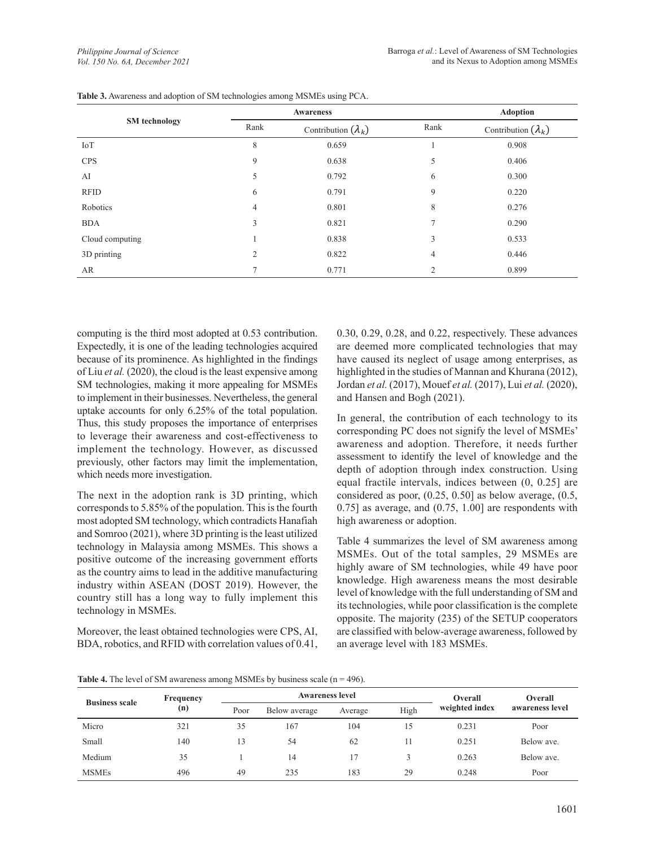|                      |                | <b>Awareness</b>           | <b>Adoption</b> |                            |
|----------------------|----------------|----------------------------|-----------------|----------------------------|
| <b>SM</b> technology | Rank           | Contribution $(\lambda_k)$ |                 | Contribution $(\lambda_k)$ |
| IoT                  | 8              | 0.659                      |                 | 0.908                      |
| <b>CPS</b>           | 9              | 0.638                      | 5               | 0.406                      |
| AI                   | 5              | 0.792                      | 6               | 0.300                      |
| <b>RFID</b>          | 6              | 0.791                      | 9               | 0.220                      |
| Robotics             | 4              | 0.801                      | 8               | 0.276                      |
| <b>BDA</b>           | 3              | 0.821                      | $\mathcal{I}$   | 0.290                      |
| Cloud computing      |                | 0.838                      | 3               | 0.533                      |
| 3D printing          | $\overline{2}$ | 0.822                      | 4               | 0.446                      |
| AR                   | $\overline{7}$ | 0.771                      | 2               | 0.899                      |

|  |  | Table 3. Awareness and adoption of SM technologies among MSMEs using PCA. |  |  |
|--|--|---------------------------------------------------------------------------|--|--|
|  |  |                                                                           |  |  |

computing is the third most adopted at 0.53 contribution. Expectedly, it is one of the leading technologies acquired because of its prominence. As highlighted in the findings of Liu *et al.* (2020), the cloud is the least expensive among SM technologies, making it more appealing for MSMEs to implement in their businesses. Nevertheless, the general uptake accounts for only 6.25% of the total population. Thus, this study proposes the importance of enterprises to leverage their awareness and cost-effectiveness to implement the technology. However, as discussed previously, other factors may limit the implementation, which needs more investigation.

The next in the adoption rank is 3D printing, which corresponds to 5.85% of the population. This is the fourth most adopted SM technology, which contradicts Hanafiah and Somroo (2021), where 3D printing is the least utilized technology in Malaysia among MSMEs. This shows a positive outcome of the increasing government efforts as the country aims to lead in the additive manufacturing industry within ASEAN (DOST 2019). However, the country still has a long way to fully implement this technology in MSMEs.

Moreover, the least obtained technologies were CPS, AI, BDA, robotics, and RFID with correlation values of 0.41, 0.30, 0.29, 0.28, and 0.22, respectively. These advances are deemed more complicated technologies that may have caused its neglect of usage among enterprises, as highlighted in the studies of Mannan and Khurana (2012), Jordan *et al.* (2017), Mouef *et al.* (2017), Lui *et al.* (2020), and Hansen and Bogh (2021).

In general, the contribution of each technology to its corresponding PC does not signify the level of MSMEs' awareness and adoption. Therefore, it needs further assessment to identify the level of knowledge and the depth of adoption through index construction. Using equal fractile intervals, indices between (0, 0.25] are considered as poor, (0.25, 0.50] as below average, (0.5, 0.75] as average, and (0.75, 1.00] are respondents with high awareness or adoption.

Table 4 summarizes the level of SM awareness among MSMEs. Out of the total samples, 29 MSMEs are highly aware of SM technologies, while 49 have poor knowledge. High awareness means the most desirable level of knowledge with the full understanding of SM and its technologies, while poor classification is the complete opposite. The majority (235) of the SETUP cooperators are classified with below-average awareness, followed by an average level with 183 MSMEs.

**Table 4.** The level of SM awareness among MSMEs by business scale (n = 496).

| <b>Business scale</b> | Frequency<br>(n) | <b>Awareness level</b> |               |         |      | Overall        | Overall         |
|-----------------------|------------------|------------------------|---------------|---------|------|----------------|-----------------|
|                       |                  | Poor                   | Below average | Average | High | weighted index | awareness level |
| Micro                 | 321              | 35                     | 167           | 104     | 15   | 0.231          | Poor            |
| Small                 | 140              | 13                     | 54            | 62      |      | 0.251          | Below ave.      |
| Medium                | 35               |                        | 14            | 17      |      | 0.263          | Below ave.      |
| <b>MSMEs</b>          | 496              | 49                     | 235           | 183     | 29   | 0.248          | Poor            |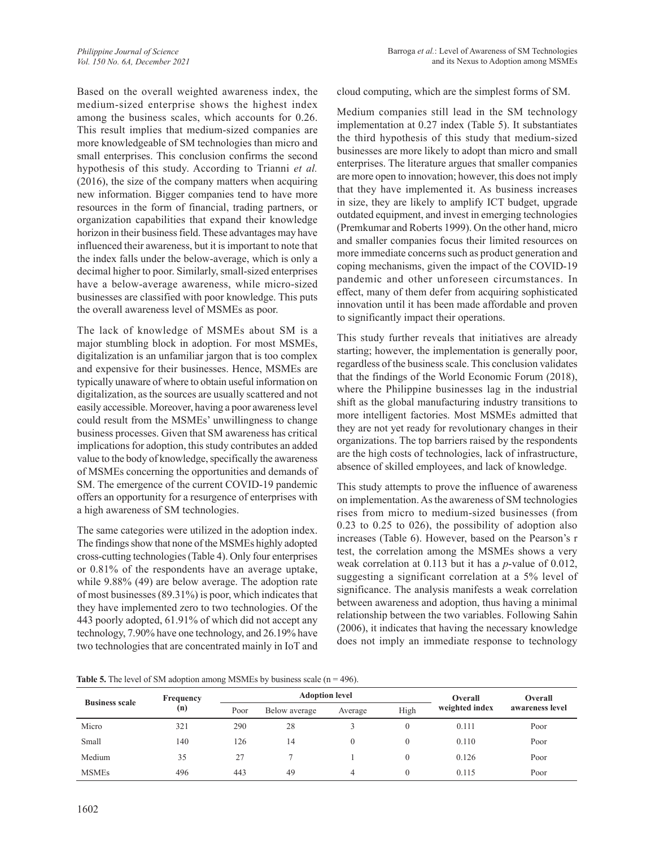Based on the overall weighted awareness index, the medium-sized enterprise shows the highest index among the business scales, which accounts for 0.26. This result implies that medium-sized companies are more knowledgeable of SM technologies than micro and small enterprises. This conclusion confirms the second hypothesis of this study. According to Trianni *et al.* (2016), the size of the company matters when acquiring new information. Bigger companies tend to have more resources in the form of financial, trading partners, or organization capabilities that expand their knowledge horizon in their business field. These advantages may have influenced their awareness, but it is important to note that the index falls under the below-average, which is only a decimal higher to poor. Similarly, small-sized enterprises have a below-average awareness, while micro-sized businesses are classified with poor knowledge. This puts the overall awareness level of MSMEs as poor.

The lack of knowledge of MSMEs about SM is a major stumbling block in adoption. For most MSMEs, digitalization is an unfamiliar jargon that is too complex and expensive for their businesses. Hence, MSMEs are typically unaware of where to obtain useful information on digitalization, as the sources are usually scattered and not easily accessible. Moreover, having a poor awareness level could result from the MSMEs' unwillingness to change business processes. Given that SM awareness has critical implications for adoption, this study contributes an added value to the body of knowledge, specifically the awareness of MSMEs concerning the opportunities and demands of SM. The emergence of the current COVID-19 pandemic offers an opportunity for a resurgence of enterprises with a high awareness of SM technologies.

The same categories were utilized in the adoption index. The findings show that none of the MSMEs highly adopted cross-cutting technologies (Table 4). Only four enterprises or 0.81% of the respondents have an average uptake, while 9.88% (49) are below average. The adoption rate of most businesses (89.31%) is poor, which indicates that they have implemented zero to two technologies. Of the 443 poorly adopted, 61.91% of which did not accept any technology, 7.90% have one technology, and 26.19% have two technologies that are concentrated mainly in IoT and cloud computing, which are the simplest forms of SM.

Medium companies still lead in the SM technology implementation at 0.27 index (Table 5). It substantiates the third hypothesis of this study that medium-sized businesses are more likely to adopt than micro and small enterprises. The literature argues that smaller companies are more open to innovation; however, this does not imply that they have implemented it. As business increases in size, they are likely to amplify ICT budget, upgrade outdated equipment, and invest in emerging technologies (Premkumar and Roberts 1999). On the other hand, micro and smaller companies focus their limited resources on more immediate concerns such as product generation and coping mechanisms, given the impact of the COVID-19 pandemic and other unforeseen circumstances. In effect, many of them defer from acquiring sophisticated innovation until it has been made affordable and proven to significantly impact their operations.

This study further reveals that initiatives are already starting; however, the implementation is generally poor, regardless of the business scale. This conclusion validates that the findings of the World Economic Forum (2018), where the Philippine businesses lag in the industrial shift as the global manufacturing industry transitions to more intelligent factories. Most MSMEs admitted that they are not yet ready for revolutionary changes in their organizations. The top barriers raised by the respondents are the high costs of technologies, lack of infrastructure, absence of skilled employees, and lack of knowledge.

This study attempts to prove the influence of awareness on implementation. As the awareness of SM technologies rises from micro to medium-sized businesses (from 0.23 to 0.25 to 026), the possibility of adoption also increases (Table 6). However, based on the Pearson's r test, the correlation among the MSMEs shows a very weak correlation at 0.113 but it has a *p*-value of 0.012, suggesting a significant correlation at a 5% level of significance. The analysis manifests a weak correlation between awareness and adoption, thus having a minimal relationship between the two variables. Following Sahin (2006), it indicates that having the necessary knowledge does not imply an immediate response to technology

**Table 5.** The level of SM adoption among MSMEs by business scale (n = 496).

| <b>Business scale</b> | Frequency |      | <b>Adoption level</b> |         |          |                | Overall         |  |
|-----------------------|-----------|------|-----------------------|---------|----------|----------------|-----------------|--|
|                       | (n)       | Poor | Below average         | Average | High     | weighted index | awareness level |  |
| Micro                 | 321       | 290  | 28                    |         |          | 0.111          | Poor            |  |
| Small                 | 140       | 126  | 14                    |         |          | 0.110          | Poor            |  |
| Medium                | 35        | 27   |                       |         |          | 0.126          | Poor            |  |
| <b>MSMEs</b>          | 496       | 443  | 49                    |         | $\Omega$ | 0.115          | Poor            |  |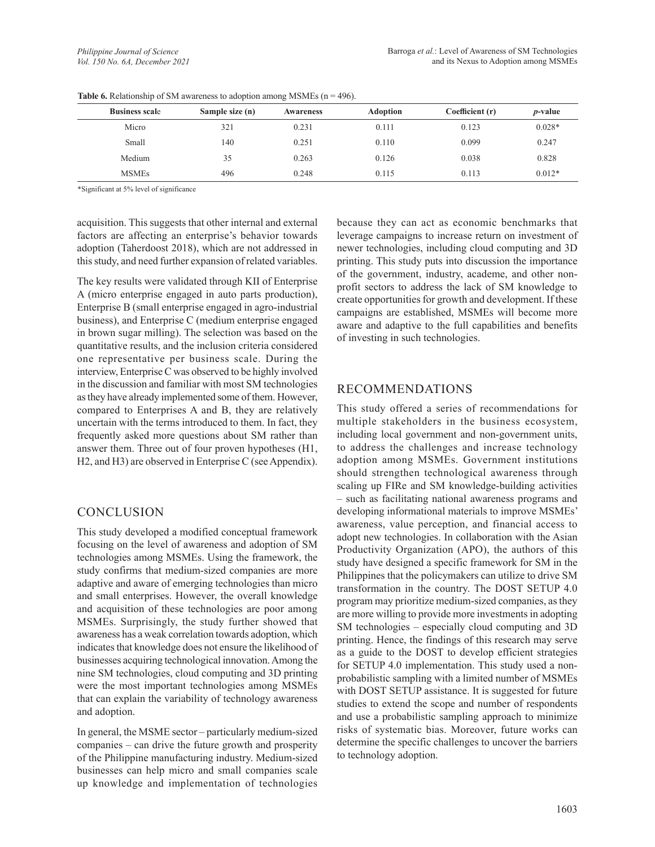| <b>Business scale</b> | Sample size (n) | <b>Awareness</b> | <b>Adoption</b> | Coefficient (r) | <i>p</i> -value |
|-----------------------|-----------------|------------------|-----------------|-----------------|-----------------|
| Micro                 | 321             | 0.231            | 0.111           | 0.123           | $0.028*$        |
| Small                 | 140             | 0.251            | 0.110           | 0.099           | 0.247           |
| Medium                | 35              | 0.263            | 0.126           | 0.038           | 0.828           |
| <b>MSMEs</b>          | 496             | 0.248            | 0.115           | 0.113           | $0.012*$        |

**Table 6.** Relationship of SM awareness to adoption among MSMEs  $(n = 496)$ .

\*Significant at 5% level of significance

acquisition. This suggests that other internal and external factors are affecting an enterprise's behavior towards adoption (Taherdoost 2018), which are not addressed in this study, and need further expansion of related variables.

The key results were validated through KII of Enterprise A (micro enterprise engaged in auto parts production), Enterprise B (small enterprise engaged in agro-industrial business), and Enterprise C (medium enterprise engaged in brown sugar milling). The selection was based on the quantitative results, and the inclusion criteria considered one representative per business scale. During the interview, Enterprise C was observed to be highly involved in the discussion and familiar with most SM technologies as they have already implemented some of them. However, compared to Enterprises A and B, they are relatively uncertain with the terms introduced to them. In fact, they frequently asked more questions about SM rather than answer them. Three out of four proven hypotheses (H1, H2, and H3) are observed in Enterprise C (see Appendix).

# CONCLUSION

This study developed a modified conceptual framework focusing on the level of awareness and adoption of SM technologies among MSMEs. Using the framework, the study confirms that medium-sized companies are more adaptive and aware of emerging technologies than micro and small enterprises. However, the overall knowledge and acquisition of these technologies are poor among MSMEs. Surprisingly, the study further showed that awareness has a weak correlation towards adoption, which indicates that knowledge does not ensure the likelihood of businesses acquiring technological innovation. Among the nine SM technologies, cloud computing and 3D printing were the most important technologies among MSMEs that can explain the variability of technology awareness and adoption.

In general, the MSME sector – particularly medium-sized companies – can drive the future growth and prosperity of the Philippine manufacturing industry. Medium-sized businesses can help micro and small companies scale up knowledge and implementation of technologies because they can act as economic benchmarks that leverage campaigns to increase return on investment of newer technologies, including cloud computing and 3D printing. This study puts into discussion the importance of the government, industry, academe, and other nonprofit sectors to address the lack of SM knowledge to create opportunities for growth and development. If these campaigns are established, MSMEs will become more aware and adaptive to the full capabilities and benefits of investing in such technologies.

# RECOMMENDATIONS

This study offered a series of recommendations for multiple stakeholders in the business ecosystem, including local government and non-government units, to address the challenges and increase technology adoption among MSMEs. Government institutions should strengthen technological awareness through scaling up FIRe and SM knowledge-building activities – such as facilitating national awareness programs and developing informational materials to improve MSMEs' awareness, value perception, and financial access to adopt new technologies. In collaboration with the Asian Productivity Organization (APO), the authors of this study have designed a specific framework for SM in the Philippines that the policymakers can utilize to drive SM transformation in the country. The DOST SETUP 4.0 program may prioritize medium-sized companies, as they are more willing to provide more investments in adopting SM technologies – especially cloud computing and 3D printing. Hence, the findings of this research may serve as a guide to the DOST to develop efficient strategies for SETUP 4.0 implementation. This study used a nonprobabilistic sampling with a limited number of MSMEs with DOST SETUP assistance. It is suggested for future studies to extend the scope and number of respondents and use a probabilistic sampling approach to minimize risks of systematic bias. Moreover, future works can determine the specific challenges to uncover the barriers to technology adoption.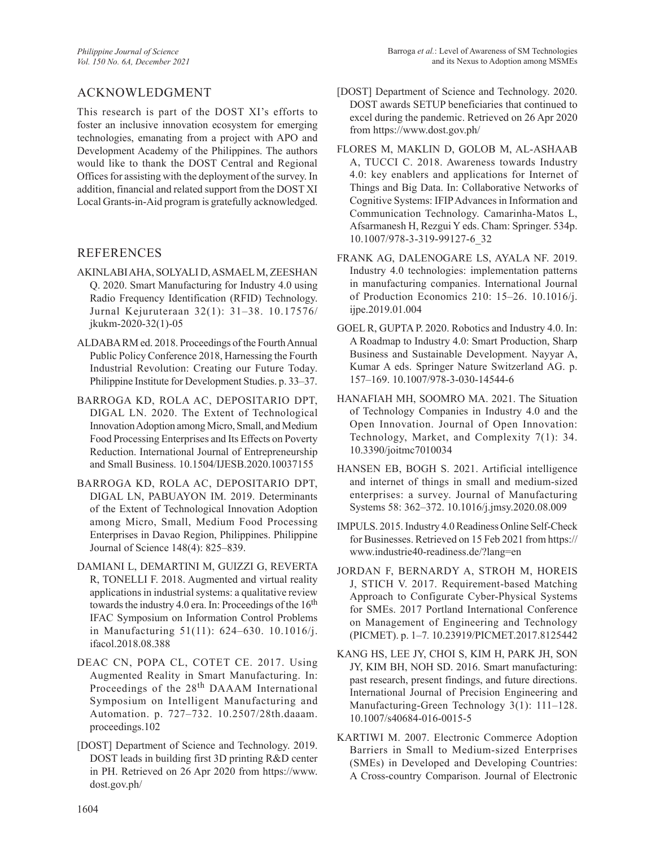# ACKNOWLEDGMENT

This research is part of the DOST XI's efforts to foster an inclusive innovation ecosystem for emerging technologies, emanating from a project with APO and Development Academy of the Philippines. The authors would like to thank the DOST Central and Regional Offices for assisting with the deployment of the survey. In addition, financial and related support from the DOST XI Local Grants-in-Aid program is gratefully acknowledged.

### REFERENCES

- AKINLABI AHA, SOLYALI D, ASMAEL M, ZEESHAN Q. 2020. Smart Manufacturing for Industry 4.0 using Radio Frequency Identification (RFID) Technology. Jurnal Kejuruteraan 32(1): 31–38. 10.17576/ jkukm-2020-32(1)-05
- ALDABA RM ed. 2018. Proceedings of the Fourth Annual Public Policy Conference 2018, Harnessing the Fourth Industrial Revolution: Creating our Future Today. Philippine Institute for Development Studies. p. 33–37.
- BARROGA KD, ROLA AC, DEPOSITARIO DPT, DIGAL LN. 2020. The Extent of Technological Innovation Adoption among Micro, Small, and Medium Food Processing Enterprises and Its Effects on Poverty Reduction. International Journal of Entrepreneurship and Small Business. 10.1504/IJESB.2020.10037155
- BARROGA KD, ROLA AC, DEPOSITARIO DPT, DIGAL LN, PABUAYON IM. 2019. Determinants of the Extent of Technological Innovation Adoption among Micro, Small, Medium Food Processing Enterprises in Davao Region, Philippines. Philippine Journal of Science 148(4): 825–839.
- DAMIANI L, DEMARTINI M, GUIZZI G, REVERTA R, TONELLI F. 2018. Augmented and virtual reality applications in industrial systems: a qualitative review towards the industry 4.0 era. In: Proceedings of the  $16<sup>th</sup>$ IFAC Symposium on Information Control Problems in Manufacturing 51(11): 624–630. 10.1016/j. ifacol.2018.08.388
- DEAC CN, POPA CL, COTET CE. 2017. Using Augmented Reality in Smart Manufacturing. In: Proceedings of the 28th DAAAM International Symposium on Intelligent Manufacturing and Automation. p. 727–732. 10.2507/28th.daaam. proceedings.102
- [DOST] Department of Science and Technology. 2019. DOST leads in building first 3D printing R&D center in PH. Retrieved on 26 Apr 2020 from https://www. dost.gov.ph/
- [DOST] Department of Science and Technology. 2020. DOST awards SETUP beneficiaries that continued to excel during the pandemic. Retrieved on 26 Apr 2020 from https://www.dost.gov.ph/
- FLORES M, MAKLIN D, GOLOB M, AL-ASHAAB A, TUCCI C. 2018. Awareness towards Industry 4.0: key enablers and applications for Internet of Things and Big Data. In: Collaborative Networks of Cognitive Systems: IFIP Advances in Information and Communication Technology. Camarinha-Matos L, Afsarmanesh H, Rezgui Y eds. Cham: Springer. 534p. 10.1007/978-3-319-99127-6\_32
- FRANK AG, DALENOGARE LS, AYALA NF. 2019. Industry 4.0 technologies: implementation patterns in manufacturing companies. International Journal of Production Economics 210: 15–26. 10.1016/j. ijpe.2019.01.004
- GOEL R, GUPTA P. 2020. Robotics and Industry 4.0. In: A Roadmap to Industry 4.0: Smart Production, Sharp Business and Sustainable Development. Nayyar A, Kumar A eds. Springer Nature Switzerland AG. p. 157–169. 10.1007/978-3-030-14544-6
- HANAFIAH MH, SOOMRO MA. 2021. The Situation of Technology Companies in Industry 4.0 and the Open Innovation. Journal of Open Innovation: Technology, Market, and Complexity 7(1): 34. 10.3390/joitmc7010034
- HANSEN EB, BOGH S. 2021. Artificial intelligence and internet of things in small and medium-sized enterprises: a survey. Journal of Manufacturing Systems 58: 362–372. 10.1016/j.jmsy.2020.08.009
- IMPULS. 2015. Industry 4.0 Readiness Online Self-Check for Businesses. Retrieved on 15 Feb 2021 from https:// www.industrie40-readiness.de/?lang=en
- JORDAN F, BERNARDY A, STROH M, HOREIS J, STICH V. 2017. Requirement-based Matching Approach to Configurate Cyber-Physical Systems for SMEs. 2017 Portland International Conference on Management of Engineering and Technology (PICMET). p. 1–7*.* 10.23919/PICMET.2017.8125442
- KANG HS, LEE JY, CHOI S, KIM H, PARK JH, SON JY, KIM BH, NOH SD. 2016. Smart manufacturing: past research, present findings, and future directions. International Journal of Precision Engineering and Manufacturing-Green Technology 3(1): 111–128. 10.1007/s40684-016-0015-5
- KARTIWI M. 2007. Electronic Commerce Adoption Barriers in Small to Medium-sized Enterprises (SMEs) in Developed and Developing Countries: A Cross-country Comparison. Journal of Electronic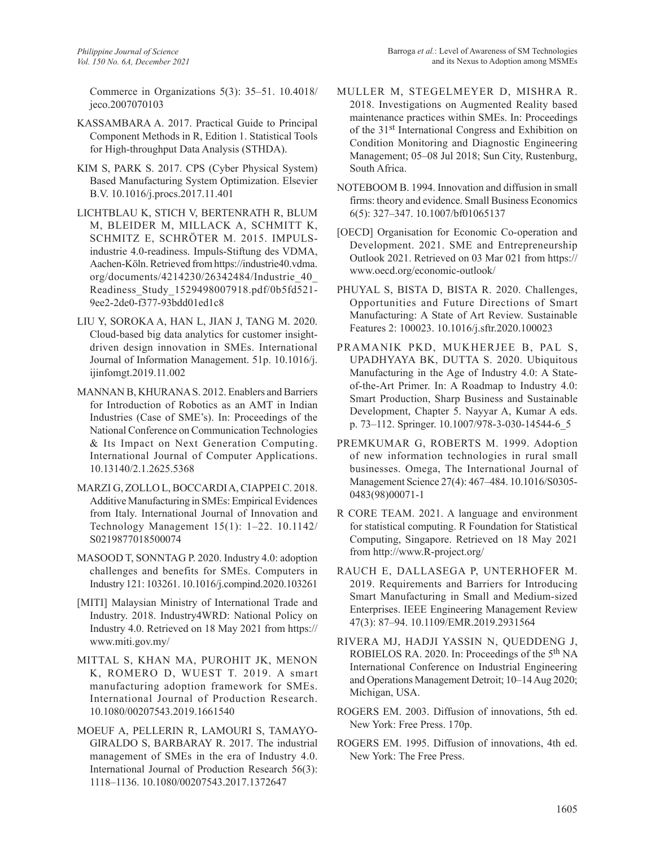Commerce in Organizations 5(3): 35–51. 10.4018/ jeco.2007070103

- KASSAMBARA A. 2017. Practical Guide to Principal Component Methods in R, Edition 1. Statistical Tools for High-throughput Data Analysis (STHDA).
- KIM S, PARK S. 2017. CPS (Cyber Physical System) Based Manufacturing System Optimization. Elsevier B.V. 10.1016/j.procs.2017.11.401
- LICHTBLAU K, STICH V, BERTENRATH R, BLUM M, BLEIDER M, MILLACK A, SCHMITT K, SCHMITZ E, SCHROTER M. 2015. IMPULSindustrie 4.0-readiness. Impuls-Stiftung des VDMA, Aachen-Köln. Retrieved from https://industrie40.vdma. org/documents/4214230/26342484/Industrie\_40\_ Readiness\_Study\_1529498007918.pdf/0b5fd521- 9ee2-2de0-f377-93bdd01ed1c8
- LIU Y, SOROKA A, HAN L, JIAN J, TANG M. 2020. Cloud-based big data analytics for customer insightdriven design innovation in SMEs. International Journal of Information Management. 51p. 10.1016/j. ijinfomgt.2019.11.002
- MANNAN B, KHURANA S. 2012. Enablers and Barriers for Introduction of Robotics as an AMT in Indian Industries (Case of SME's). In: Proceedings of the National Conference on Communication Technologies & Its Impact on Next Generation Computing. International Journal of Computer Applications. 10.13140/2.1.2625.5368
- MARZI G, ZOLLO L, BOCCARDI A, CIAPPEI C. 2018. Additive Manufacturing in SMEs: Empirical Evidences from Italy. International Journal of Innovation and Technology Management 15(1): 1–22. 10.1142/ S0219877018500074
- MASOOD T, SONNTAG P. 2020. Industry 4.0: adoption challenges and benefits for SMEs. Computers in Industry 121: 103261. 10.1016/j.compind.2020.103261
- [MITI] Malaysian Ministry of International Trade and Industry. 2018. Industry4WRD: National Policy on Industry 4.0. Retrieved on 18 May 2021 from https:// www.miti.gov.my/
- MITTAL S, KHAN MA, PUROHIT JK, MENON K, ROMERO D, WUEST T. 2019. A smart manufacturing adoption framework for SMEs. International Journal of Production Research. 10.1080/00207543.2019.1661540
- MOEUF A, PELLERIN R, LAMOURI S, TAMAYO-GIRALDO S, BARBARAY R. 2017. The industrial management of SMEs in the era of Industry 4.0. International Journal of Production Research 56(3): 1118–1136. 10.1080/00207543.2017.1372647
- MULLER M, STEGELMEYER D, MISHRA R. 2018. Investigations on Augmented Reality based maintenance practices within SMEs. In: Proceedings of the 31st International Congress and Exhibition on Condition Monitoring and Diagnostic Engineering Management; 05–08 Jul 2018; Sun City, Rustenburg, South Africa.
- NOTEBOOM B. 1994. Innovation and diffusion in small firms: theory and evidence. Small Business Economics 6(5): 327–347. 10.1007/bf01065137
- [OECD] Organisation for Economic Co-operation and Development. 2021. SME and Entrepreneurship Outlook 2021. Retrieved on 03 Mar 021 from https:// www.oecd.org/economic-outlook/
- PHUYAL S, BISTA D, BISTA R. 2020. Challenges, Opportunities and Future Directions of Smart Manufacturing: A State of Art Review. Sustainable Features 2: 100023. 10.1016/j.sftr.2020.100023
- PRAMANIK PKD, MUKHERJEE B, PAL S, UPADHYAYA BK, DUTTA S. 2020. Ubiquitous Manufacturing in the Age of Industry 4.0: A Stateof-the-Art Primer. In: A Roadmap to Industry 4.0: Smart Production, Sharp Business and Sustainable Development, Chapter 5. Nayyar A, Kumar A eds. p. 73–112. Springer. 10.1007/978-3-030-14544-6\_5
- PREMKUMAR G, ROBERTS M. 1999. Adoption of new information technologies in rural small businesses. Omega, The International Journal of Management Science 27(4): 467–484. 10.1016/S0305- 0483(98)00071-1
- R CORE TEAM. 2021. A language and environment for statistical computing. R Foundation for Statistical Computing, Singapore. Retrieved on 18 May 2021 from http://www.R-project.org/
- RAUCH E, DALLASEGA P, UNTERHOFER M. 2019. Requirements and Barriers for Introducing Smart Manufacturing in Small and Medium-sized Enterprises. IEEE Engineering Management Review 47(3): 87–94. 10.1109/EMR.2019.2931564
- RIVERA MJ, HADJI YASSIN N, QUEDDENG J, ROBIELOS RA. 2020. In: Proceedings of the 5<sup>th</sup> NA International Conference on Industrial Engineering and Operations Management Detroit; 10–14 Aug 2020; Michigan, USA.
- ROGERS EM. 2003. Diffusion of innovations, 5th ed. New York: Free Press. 170p.
- ROGERS EM. 1995. Diffusion of innovations, 4th ed. New York: The Free Press.